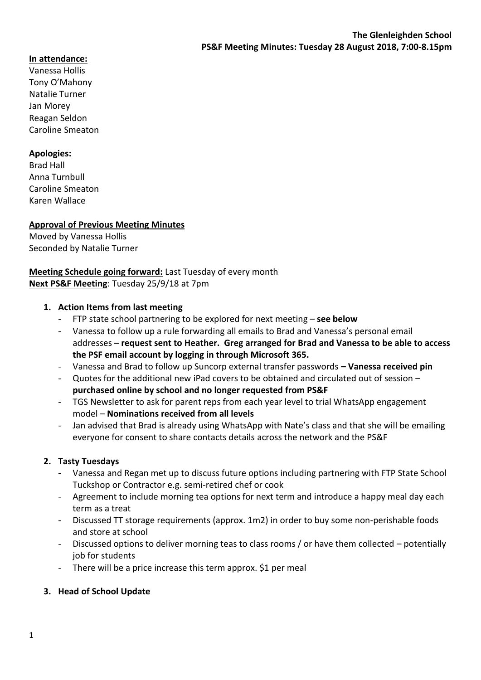# **In attendance:**

Vanessa Hollis Tony O'Mahony Natalie Turner Jan Morey Reagan Seldon Caroline Smeaton

### **Apologies:**

Brad Hall Anna Turnbull Caroline Smeaton Karen Wallace

### **Approval of Previous Meeting Minutes**

Moved by Vanessa Hollis Seconded by Natalie Turner

## **Meeting Schedule going forward:** Last Tuesday of every month **Next PS&F Meeting**: Tuesday 25/9/18 at 7pm

#### **1. Action Items from last meeting**

- FTP state school partnering to be explored for next meeting **see below**
- Vanessa to follow up a rule forwarding all emails to Brad and Vanessa's personal email addresses **– request sent to Heather. Greg arranged for Brad and Vanessa to be able to access the PSF email account by logging in through Microsoft 365.**
- Vanessa and Brad to follow up Suncorp external transfer passwords **– Vanessa received pin**
- Quotes for the additional new iPad covers to be obtained and circulated out of session **purchased online by school and no longer requested from PS&F**
- TGS Newsletter to ask for parent reps from each year level to trial WhatsApp engagement model – **Nominations received from all levels**
- Jan advised that Brad is already using WhatsApp with Nate's class and that she will be emailing everyone for consent to share contacts details across the network and the PS&F

### **2. Tasty Tuesdays**

- Vanessa and Regan met up to discuss future options including partnering with FTP State School Tuckshop or Contractor e.g. semi-retired chef or cook
- Agreement to include morning tea options for next term and introduce a happy meal day each term as a treat
- Discussed TT storage requirements (approx. 1m2) in order to buy some non-perishable foods and store at school
- Discussed options to deliver morning teas to class rooms / or have them collected potentially job for students
- There will be a price increase this term approx. \$1 per meal
- **3. Head of School Update**